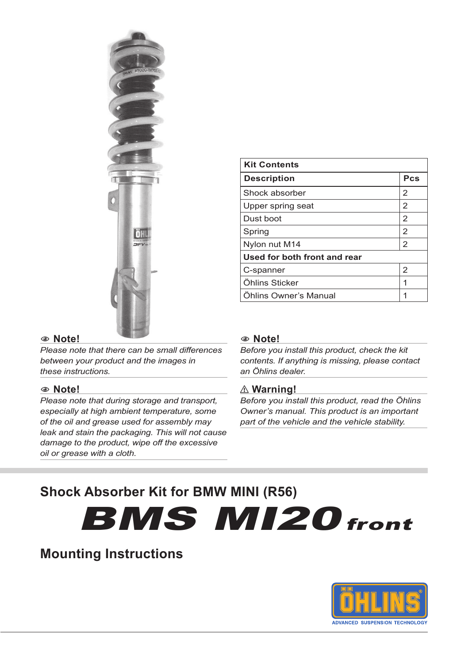

#### 1**1 Note!**

*Please note that there can be small differences between your product and the images in these instructions.*

#### 1**1 Note!**

*Please note that during storage and transport, especially at high ambient temperature, some of the oil and grease used for assembly may leak and stain the packaging. This will not cause damage to the product, wipe off the excessive oil or grease with a cloth.*

| <b>Kit Contents</b>          |     |  |
|------------------------------|-----|--|
| <b>Description</b>           | Pcs |  |
| Shock absorber               | 2   |  |
| Upper spring seat            | 2   |  |
| Dust boot                    | 2   |  |
| Spring                       | 2   |  |
| Nylon nut M14                | 2   |  |
| Used for both front and rear |     |  |
| C-spanner                    | 2   |  |
| Öhlins Sticker               | 1   |  |
| Öhlins Owner's Manual        |     |  |

#### 1**1 Note!**

*Before you install this product, check the kit contents. If anything is missing, please contact an Öhlins dealer.*

#### ⚠**⚠ Warning!**

*Before you install this product, read the Öhlins Owner's manual. This product is an important part of the vehicle and the vehicle stability.*

# **Shock Absorber Kit for BMW MINI (R56)**

**BMS MI20** front

# **Mounting Instructions**

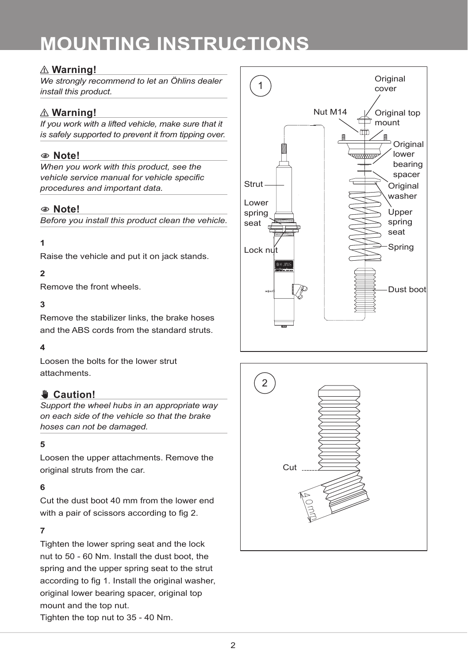## ⚠**⚠ Warning!**

*We strongly recommend to let an Öhlins dealer install this product.*

# ⚠**⚠ Warning!**

*If you work with a lifted vehicle, make sure that it is safely supported to prevent it from tipping over.*

## 1**1 Note!**

*When you work with this product, see the vehicle service manual for vehicle specific procedures and important data.*

#### 1**1 Note!**

*Before you install this product clean the vehicle.*

#### **1**

Raise the vehicle and put it on jack stands.

#### **2**

Remove the front wheels.

#### **3**

Remove the stabilizer links, the brake hoses and the ABS cords from the standard struts.

#### **4**

Loosen the bolts for the lower strut attachments.

## ✋**✋ Caution!**

*Support the wheel hubs in an appropriate way on each side of the vehicle so that the brake hoses can not be damaged.*

#### **5**

Loosen the upper attachments. Remove the original struts from the car.

#### **6**

Cut the dust boot 40 mm from the lower end with a pair of scissors according to fig 2.

#### **7**

Tighten the lower spring seat and the lock nut to 50 - 60 Nm. Install the dust boot, the spring and the upper spring seat to the strut according to fig 1. Install the original washer, original lower bearing spacer, original top mount and the top nut.

**Original** 1 cover Nut M14 Original top ັ⊓mount⊤ Original lower bearing spacer **Strut** Original washer Lower spring Upper spring seat seat Spring Lock nu  $\overline{\mathscr{P}}$ Dust boot



Tighten the top nut to 35 - 40 Nm.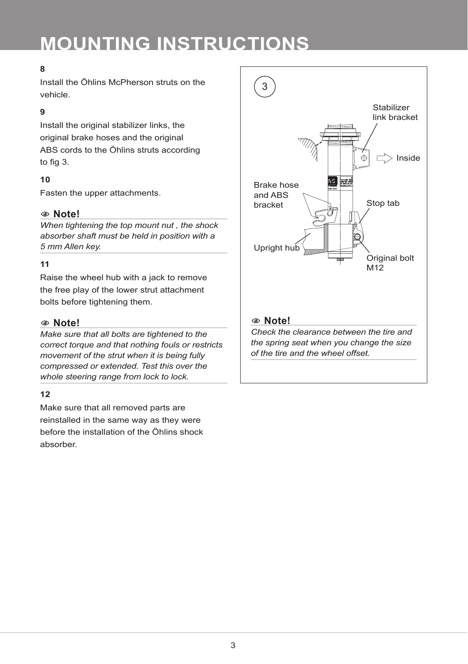### **8**

Install the Öhlins McPherson struts on the vehicle.

#### **9**

Install the original stabilizer links, the original brake hoses and the original ABS cords to the Öhlins struts according to fig 3.

#### **10**

Fasten the upper attachments.

### 1**1 Note!**

*When tightening the top mount nut , the shock absorber shaft must be held in position with a 5 mm Allen key.*

#### **11**

Raise the wheel hub with a jack to remove the free play of the lower strut attachment bolts before tightening them.

#### 1**1 Note!**

*Make sure that all bolts are tightened to the correct torque and that nothing fouls or restricts movement of the strut when it is being fully compressed or extended. Test this over the whole steering range from lock to lock.*

#### **12**

Make sure that all removed parts are reinstalled in the same way as they were before the installation of the Öhlins shock absorber.

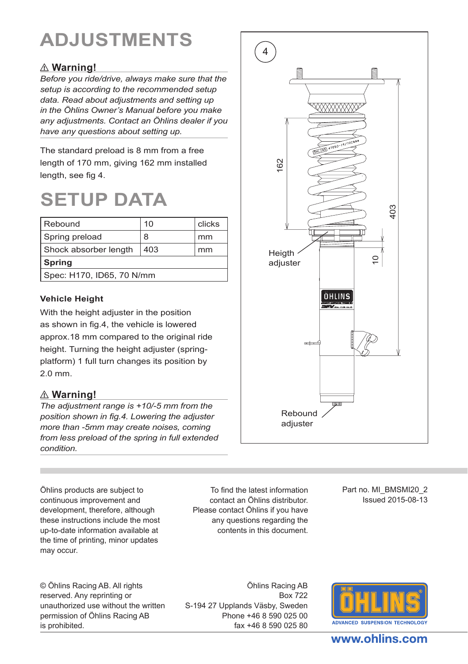# **ADJUSTMENTS**

# ⚠**⚠ Warning!**

*Before you ride/drive, always make sure that the setup is according to the recommended setup data. Read about adjustments and setting up in the Öhlins Owner's Manual before you make any adjustments. Contact an Öhlins dealer if you have any questions about setting up.*

The standard preload is 8 mm from a free length of 170 mm, giving 162 mm installed length, see fig 4.

# **SETUP DATA**

| l Rebound                 | 10  | clicks |  |  |
|---------------------------|-----|--------|--|--|
| Spring preload            | 8   | mm     |  |  |
| Shock absorber length     | 403 | mm     |  |  |
| Spring                    |     |        |  |  |
| Spec: H170, ID65, 70 N/mm |     |        |  |  |

#### **Vehicle Height**

With the height adjuster in the position as shown in fig.4, the vehicle is lowered approx.18 mm compared to the original ride height. Turning the height adjuster (springplatform) 1 full turn changes its position by 2.0 mm.

## ⚠**⚠ Warning!**

*The adjustment range is +10/-5 mm from the position shown in fig.4. Lowering the adjuster more than -5mm may create noises, coming from less preload of the spring in full extended condition.*

4 E XXXXXXXX 162 403 Heigth  $\circ$ adjuster Rebound adjuster

Öhlins products are subject to continuous improvement and development, therefore, although these instructions include the most up-to-date information available at the time of printing, minor updates may occur.

To find the latest information contact an Öhlins distributor. Please contact Öhlins if you have any questions regarding the contents in this document.

Part no. MI\_BMSMI20\_2 Issued 2015-08-13

© Öhlins Racing AB. All rights reserved. Any reprinting or unauthorized use without the written permission of Öhlins Racing AB is prohibited.

Öhlins Racing AB Box 722 S-194 27 Upplands Väsby, Sweden Phone +46 8 590 025 00 fax +46 8 590 025 80



# www.ohlins.com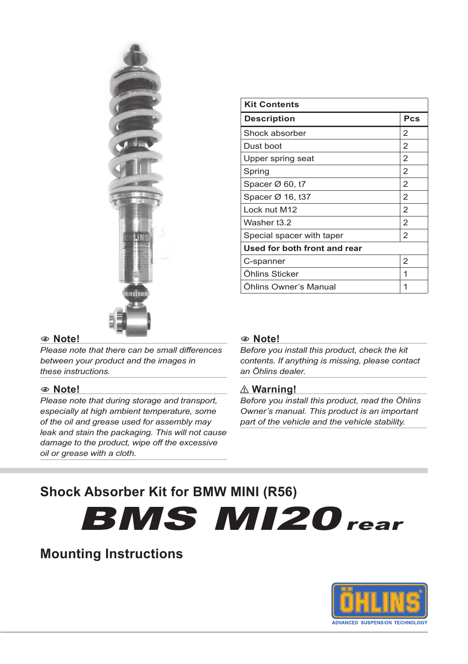

| <b>Kit Contents</b>          |                |  |
|------------------------------|----------------|--|
| <b>Description</b>           | Pcs            |  |
| Shock absorber               | $\overline{2}$ |  |
| Dust boot                    | $\overline{2}$ |  |
| Upper spring seat            | $\overline{2}$ |  |
| Spring                       | $\overline{2}$ |  |
| Spacer $\varnothing$ 60, t7  | $\overline{2}$ |  |
| Spacer Ø 16, t37             | $\overline{2}$ |  |
| Lock nut M12                 | $\overline{2}$ |  |
| Washer t3.2                  | $\overline{2}$ |  |
| Special spacer with taper    | $\overline{2}$ |  |
| Used for both front and rear |                |  |
| C-spanner                    | $\overline{2}$ |  |
| Öhlins Sticker               | 1              |  |
| <b>Ohlins Owner's Manual</b> | 1              |  |

#### 1**1 Note!**

*Please note that there can be small differences between your product and the images in these instructions.*

#### 1**1 Note!**

*Please note that during storage and transport, especially at high ambient temperature, some of the oil and grease used for assembly may leak and stain the packaging. This will not cause damage to the product, wipe off the excessive oil or grease with a cloth.*

#### 1**1 Note!**

*Before you install this product, check the kit contents. If anything is missing, please contact an Öhlins dealer.*

#### ⚠**⚠ Warning!**

*Before you install this product, read the Öhlins Owner's manual. This product is an important part of the vehicle and the vehicle stability.*

# **Shock Absorber Kit for BMW MINI (R56)**

**BMS MI20** rear

# **Mounting Instructions**

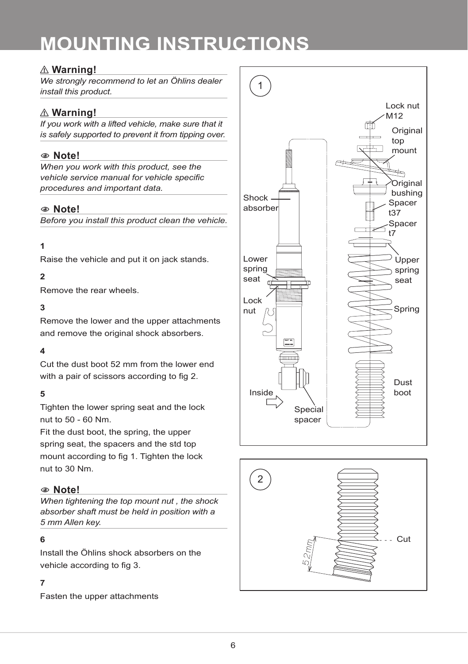## ⚠**⚠ Warning!**

*We strongly recommend to let an Öhlins dealer install this product.*

# ⚠**⚠ Warning!**

*If you work with a lifted vehicle, make sure that it is safely supported to prevent it from tipping over.*

### 1**1 Note!**

*When you work with this product, see the vehicle service manual for vehicle specific procedures and important data.*

#### 1**1 Note!**

*Before you install this product clean the vehicle.*

#### **1**

Raise the vehicle and put it on jack stands.

#### $\alpha$

Remove the rear wheels.

#### **3**

Remove the lower and the upper attachments and remove the original shock absorbers.

#### **4**

Cut the dust boot 52 mm from the lower end with a pair of scissors according to fig 2.

#### **5**

Tighten the lower spring seat and the lock nut to 50 - 60 Nm.

Fit the dust boot, the spring, the upper spring seat, the spacers and the std top mount according to fig 1. Tighten the lock nut to 30 Nm.

#### 1**1 Note!**

*When tightening the top mount nut , the shock absorber shaft must be held in position with a 5 mm Allen key.*

#### **6**

Install the Öhlins shock absorbers on the vehicle according to fig 3.

#### **7**

Fasten the upper attachments



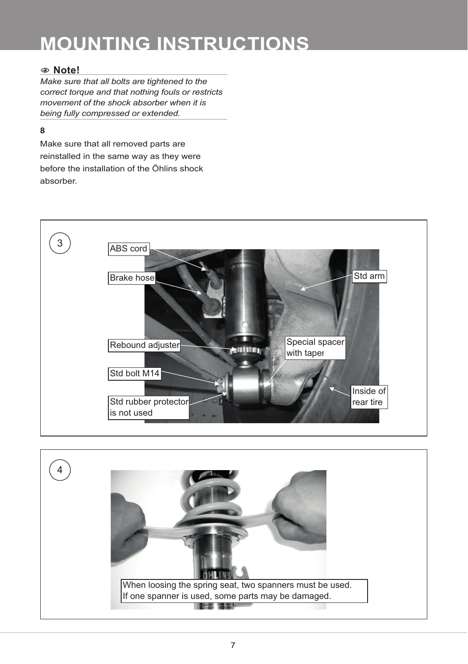### 1**1 Note!**

*Make sure that all bolts are tightened to the correct torque and that nothing fouls or restricts movement of the shock absorber when it is being fully compressed or extended.*

#### **8**

Make sure that all removed parts are reinstalled in the same way as they were before the installation of the Öhlins shock absorber.